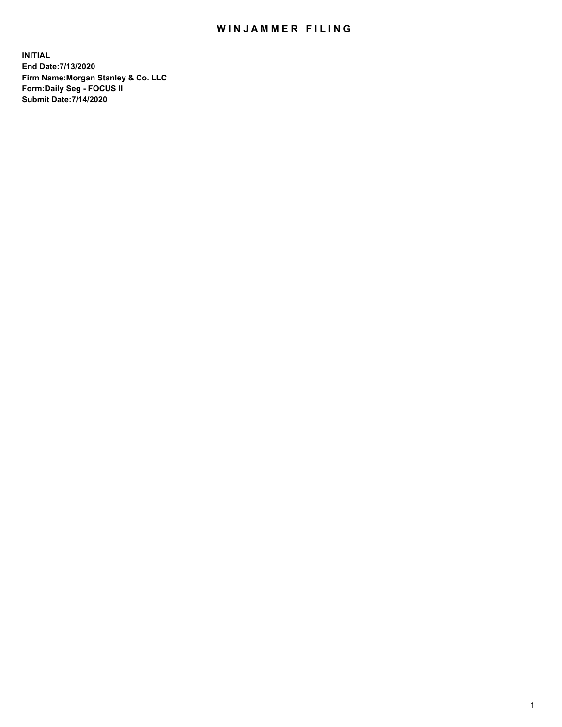## WIN JAMMER FILING

**INITIAL End Date:7/13/2020 Firm Name:Morgan Stanley & Co. LLC Form:Daily Seg - FOCUS II Submit Date:7/14/2020**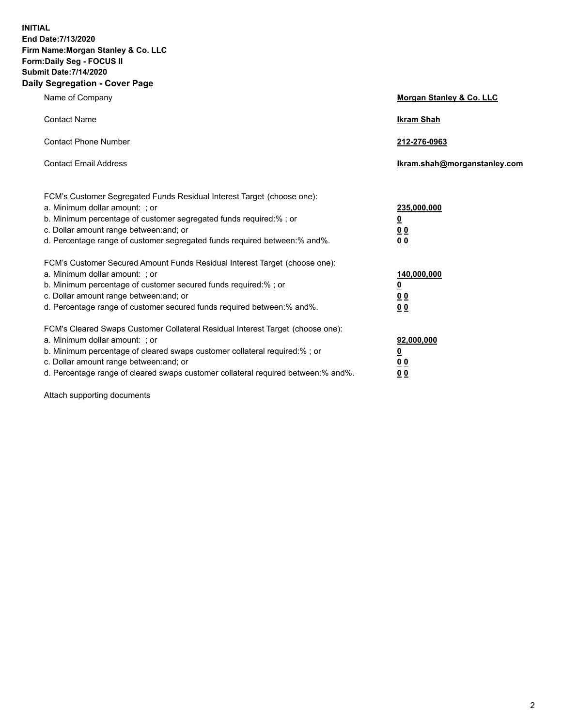**INITIAL End Date:7/13/2020 Firm Name:Morgan Stanley & Co. LLC Form:Daily Seg - FOCUS II Submit Date:7/14/2020 Daily Segregation - Cover Page**

| Name of Company                                                                                                                                                                                                                                                                                                                | Morgan Stanley & Co. LLC                                |
|--------------------------------------------------------------------------------------------------------------------------------------------------------------------------------------------------------------------------------------------------------------------------------------------------------------------------------|---------------------------------------------------------|
| <b>Contact Name</b>                                                                                                                                                                                                                                                                                                            | <b>Ikram Shah</b>                                       |
| <b>Contact Phone Number</b>                                                                                                                                                                                                                                                                                                    | 212-276-0963                                            |
| <b>Contact Email Address</b>                                                                                                                                                                                                                                                                                                   | Ikram.shah@morganstanley.com                            |
| FCM's Customer Segregated Funds Residual Interest Target (choose one):<br>a. Minimum dollar amount: ; or<br>b. Minimum percentage of customer segregated funds required:% ; or<br>c. Dollar amount range between: and; or<br>d. Percentage range of customer segregated funds required between:% and%.                         | 235,000,000<br><u>0</u><br><u>00</u><br><u>00</u>       |
| FCM's Customer Secured Amount Funds Residual Interest Target (choose one):<br>a. Minimum dollar amount: ; or<br>b. Minimum percentage of customer secured funds required:%; or<br>c. Dollar amount range between: and; or<br>d. Percentage range of customer secured funds required between:% and%.                            | 140,000,000<br><u>0</u><br><u>0 0</u><br>0 <sub>0</sub> |
| FCM's Cleared Swaps Customer Collateral Residual Interest Target (choose one):<br>a. Minimum dollar amount: ; or<br>b. Minimum percentage of cleared swaps customer collateral required:% ; or<br>c. Dollar amount range between: and; or<br>d. Percentage range of cleared swaps customer collateral required between:% and%. | 92,000,000<br><u>0</u><br><u>00</u><br>00               |

Attach supporting documents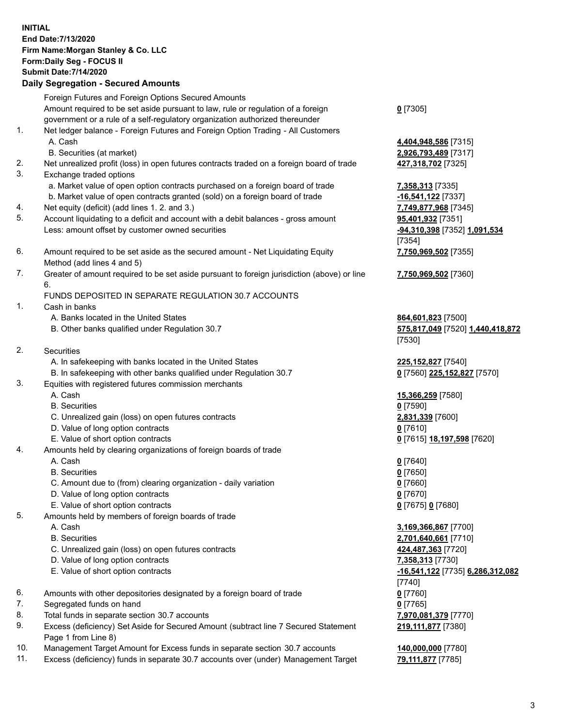## **INITIAL End Date:7/13/2020 Firm Name:Morgan Stanley & Co. LLC Form:Daily Seg - FOCUS II Submit Date:7/14/2020**

**Daily Segregation - Secured Amounts** Foreign Futures and Foreign Options Secured Amounts Amount required to be set aside pursuant to law, rule or regulation of a foreign government or a rule of a self-regulatory organization authorized thereunder 1. Net ledger balance - Foreign Futures and Foreign Option Trading - All Customers A. Cash **4,404,948,586** [7315] B. Securities (at market) **2,926,793,489** [7317] 2. Net unrealized profit (loss) in open futures contracts traded on a foreign board of trade **427,318,702** [7325] 3. Exchange traded options a. Market value of open option contracts purchased on a foreign board of trade **7,358,313** [7335] b. Market value of open contracts granted (sold) on a foreign board of trade **-16,541,122** [7337] 4. Net equity (deficit) (add lines 1. 2. and 3.) **7,749,877,968** [7345] 5. Account liquidating to a deficit and account with a debit balances - gross amount **95,401,932** [7351] Less: amount offset by customer owned securities **-94,310,398** [7352] **1,091,534** 6. Amount required to be set aside as the secured amount - Net Liquidating Equity Method (add lines 4 and 5) 7. Greater of amount required to be set aside pursuant to foreign jurisdiction (above) or line 6. FUNDS DEPOSITED IN SEPARATE REGULATION 30.7 ACCOUNTS 1. Cash in banks A. Banks located in the United States **864,601,823** [7500] B. Other banks qualified under Regulation 30.7 **575,817,049** [7520] **1,440,418,872** 2. Securities A. In safekeeping with banks located in the United States **225,152,827** [7540] B. In safekeeping with other banks qualified under Regulation 30.7 **0** [7560] **225,152,827** [7570] 3. Equities with registered futures commission merchants A. Cash **15,366,259** [7580] B. Securities **0** [7590] C. Unrealized gain (loss) on open futures contracts **2,831,339** [7600] D. Value of long option contracts **0** [7610] E. Value of short option contracts **0** [7615] **18,197,598** [7620] 4. Amounts held by clearing organizations of foreign boards of trade A. Cash **0** [7640]

- B. Securities **0** [7650]
- C. Amount due to (from) clearing organization daily variation **0** [7660]
- D. Value of long option contracts **0** [7670]
- E. Value of short option contracts **0** [7675] **0** [7680]
- 5. Amounts held by members of foreign boards of trade
	-
	-
	- C. Unrealized gain (loss) on open futures contracts **424,487,363** [7720]
	- D. Value of long option contracts **7,358,313** [7730]
	- E. Value of short option contracts **-16,541,122** [7735] **6,286,312,082**
- 6. Amounts with other depositories designated by a foreign board of trade **0** [7760]
- 7. Segregated funds on hand **0** [7765]
- 8. Total funds in separate section 30.7 accounts **7,970,081,379** [7770]
- 9. Excess (deficiency) Set Aside for Secured Amount (subtract line 7 Secured Statement Page 1 from Line 8)
- 10. Management Target Amount for Excess funds in separate section 30.7 accounts **140,000,000** [7780]
- 11. Excess (deficiency) funds in separate 30.7 accounts over (under) Management Target **79,111,877** [7785]

**0** [7305]

[7354] **7,750,969,502** [7355]

**7,750,969,502** [7360]

[7530]

 A. Cash **3,169,366,867** [7700] B. Securities **2,701,640,661** [7710] [7740] **219,111,877** [7380]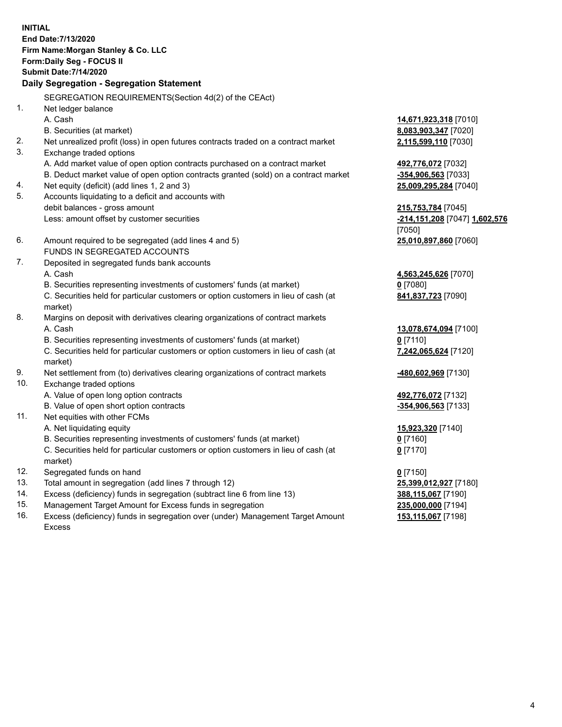**INITIAL End Date:7/13/2020 Firm Name:Morgan Stanley & Co. LLC Form:Daily Seg - FOCUS II Submit Date:7/14/2020 Daily Segregation - Segregation Statement** SEGREGATION REQUIREMENTS(Section 4d(2) of the CEAct) 1. Net ledger balance A. Cash **14,671,923,318** [7010] B. Securities (at market) **8,083,903,347** [7020] 2. Net unrealized profit (loss) in open futures contracts traded on a contract market **2,115,599,110** [7030] 3. Exchange traded options A. Add market value of open option contracts purchased on a contract market **492,776,072** [7032] B. Deduct market value of open option contracts granted (sold) on a contract market **-354,906,563** [7033] 4. Net equity (deficit) (add lines 1, 2 and 3) **25,009,295,284** [7040] 5. Accounts liquidating to a deficit and accounts with debit balances - gross amount **215,753,784** [7045] Less: amount offset by customer securities **-214,151,208** [7047] **1,602,576** [7050] 6. Amount required to be segregated (add lines 4 and 5) **25,010,897,860** [7060] FUNDS IN SEGREGATED ACCOUNTS 7. Deposited in segregated funds bank accounts A. Cash **4,563,245,626** [7070] B. Securities representing investments of customers' funds (at market) **0** [7080] C. Securities held for particular customers or option customers in lieu of cash (at market) **841,837,723** [7090] 8. Margins on deposit with derivatives clearing organizations of contract markets A. Cash **13,078,674,094** [7100] B. Securities representing investments of customers' funds (at market) **0** [7110] C. Securities held for particular customers or option customers in lieu of cash (at market) **7,242,065,624** [7120] 9. Net settlement from (to) derivatives clearing organizations of contract markets **-480,602,969** [7130] 10. Exchange traded options A. Value of open long option contracts **492,776,072** [7132] B. Value of open short option contracts **-354,906,563** [7133] 11. Net equities with other FCMs A. Net liquidating equity **15,923,320** [7140] B. Securities representing investments of customers' funds (at market) **0** [7160] C. Securities held for particular customers or option customers in lieu of cash (at market) **0** [7170] 12. Segregated funds on hand **0** [7150] 13. Total amount in segregation (add lines 7 through 12) **25,399,012,927** [7180] 14. Excess (deficiency) funds in segregation (subtract line 6 from line 13) **388,115,067** [7190] 15. Management Target Amount for Excess funds in segregation **235,000,000** [7194]

16. Excess (deficiency) funds in segregation over (under) Management Target Amount Excess

**153,115,067** [7198]